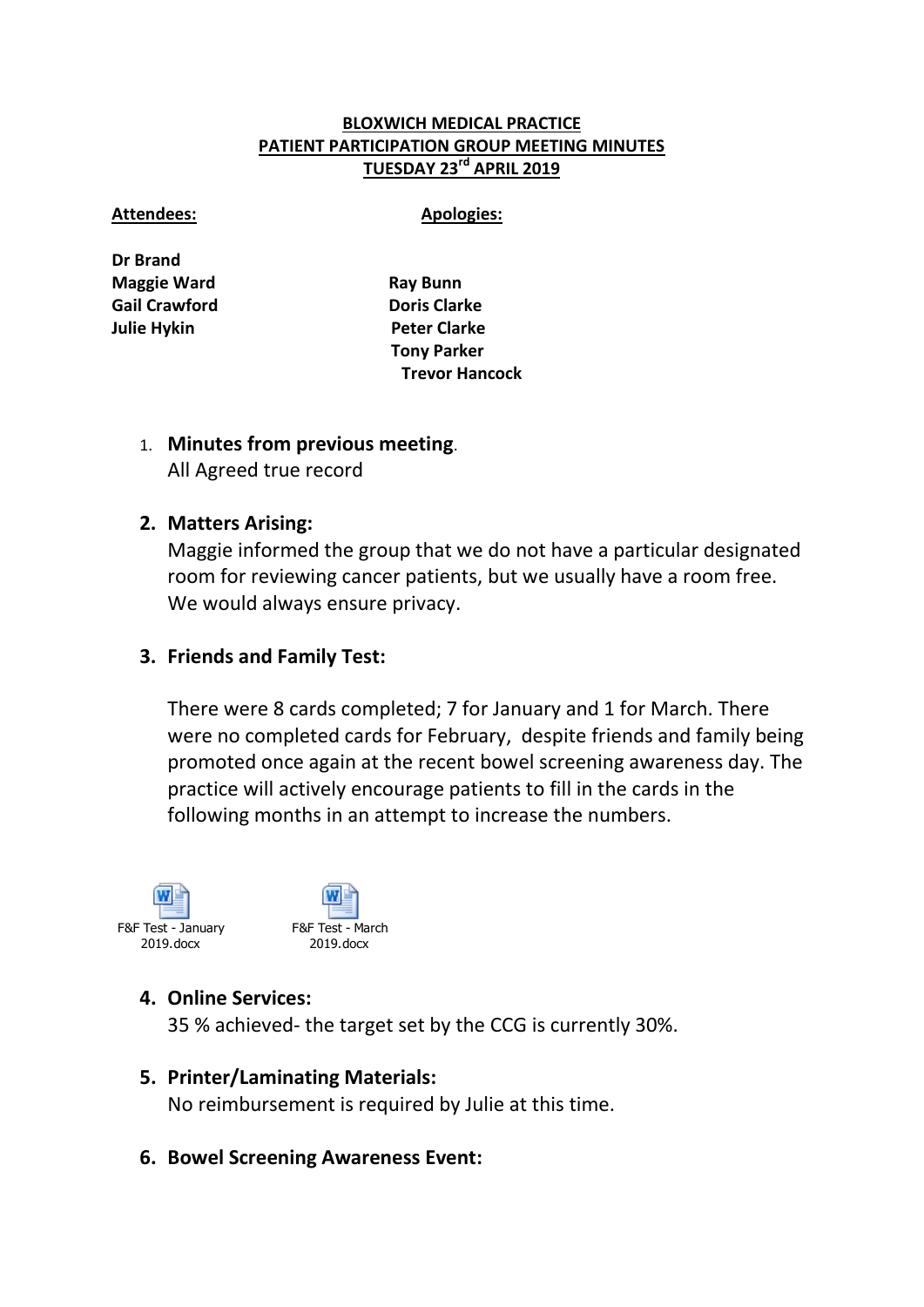#### **BLOXWICH MEDICAL PRACTICE PATIENT PARTICIPATION GROUP MEETING MINUTES TUESDAY 23rd APRIL 2019**

#### Attendees:

#### **Apologies:**

 **Dr Brand Maggie Ward Gail Crawford Julie Hykin** 

 **Trevor Hancock Ray Bunn Doris Clarke Peter Clarke Tony Parker** 

# 1. **Minutes from previous meeting**.

All Agreed true record

## **2. Matters Arising:**

 Maggie informed the group that we do not have a particular designated room for reviewing cancer patients, but we usually have a room free. We would always ensure privacy.

## **3. Friends and Family Test:**

 were no completed cards for February, despite friends and family being promoted once again at the recent bowel screening awareness day. The following months in an attempt to increase the numbers. There were 8 cards completed; 7 for January and 1 for March. There practice will actively encourage patients to fill in the cards in the





## **4. Online Services:**

35 % achieved- the target set by the CCG is currently 30%.

## **5. Printer/Laminating Materials:**

No reimbursement is required by Julie at this time.

**6. Bowel Screening Awareness Event:**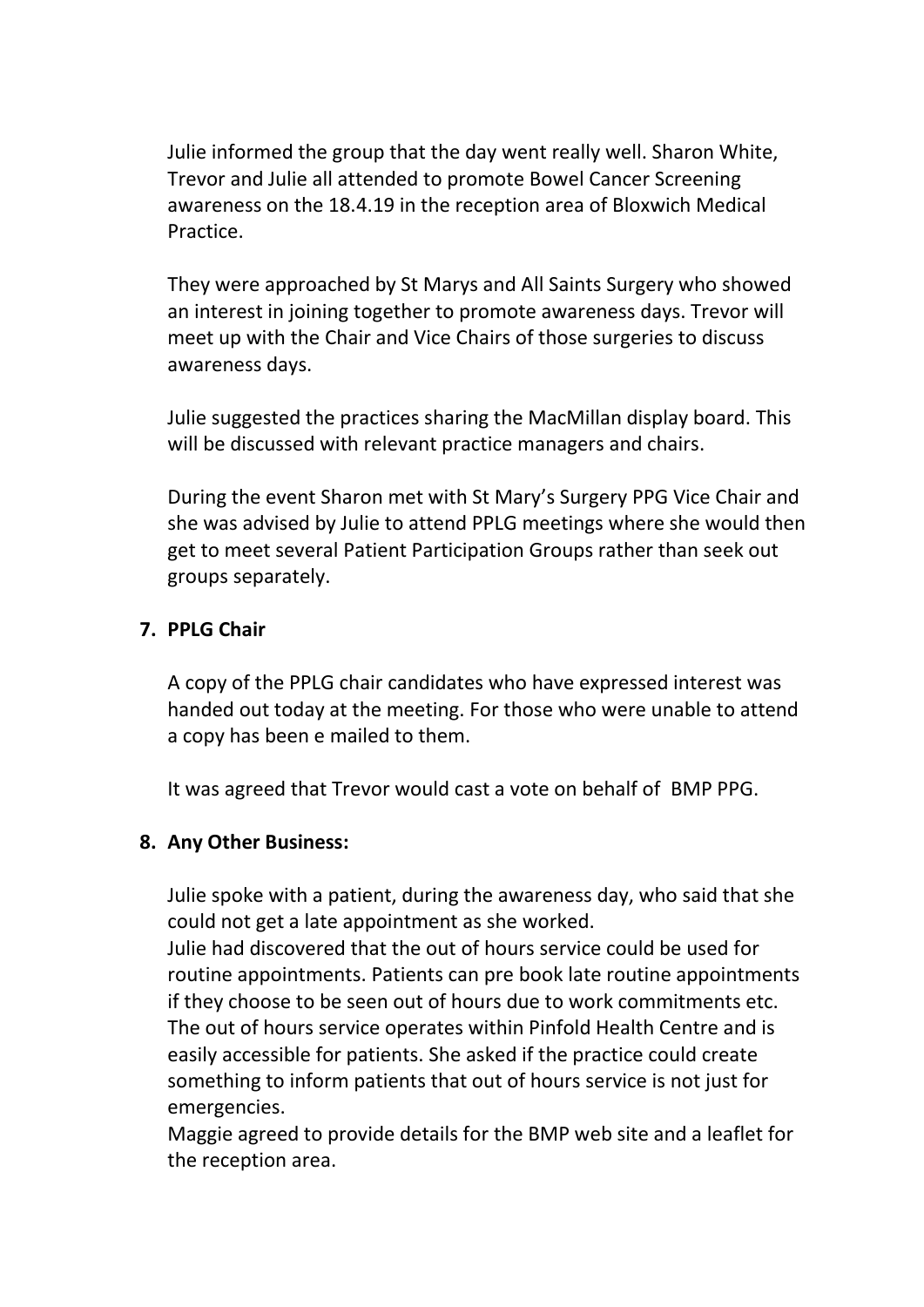Julie informed the group that the day went really well. Sharon White, awareness on the 18.4.19 in the reception area of Bloxwich Medical Trevor and Julie all attended to promote Bowel Cancer Screening Practice.

 They were approached by St Marys and All Saints Surgery who showed an interest in joining together to promote awareness days. Trevor will meet up with the Chair and Vice Chairs of those surgeries to discuss awareness days.

 Julie suggested the practices sharing the MacMillan display board. This will be discussed with relevant practice managers and chairs.

 During the event Sharon met with St Mary's Surgery PPG Vice Chair and she was advised by Julie to attend PPLG meetings where she would then get to meet several Patient Participation Groups rather than seek out groups separately.

## **7. PPLG Chair**

 A copy of the PPLG chair candidates who have expressed interest was handed out today at the meeting. For those who were unable to attend a copy has been e mailed to them.

It was agreed that Trevor would cast a vote on behalf of BMP PPG.

## **8. Any Other Business:**

 Julie spoke with a patient, during the awareness day, who said that she could not get a late appointment as she worked.

 Julie had discovered that the out of hours service could be used for routine appointments. Patients can pre book late routine appointments if they choose to be seen out of hours due to work commitments etc. The out of hours service operates within Pinfold Health Centre and is easily accessible for patients. She asked if the practice could create something to inform patients that out of hours service is not just for emergencies.

 Maggie agreed to provide details for the BMP web site and a leaflet for the reception area.